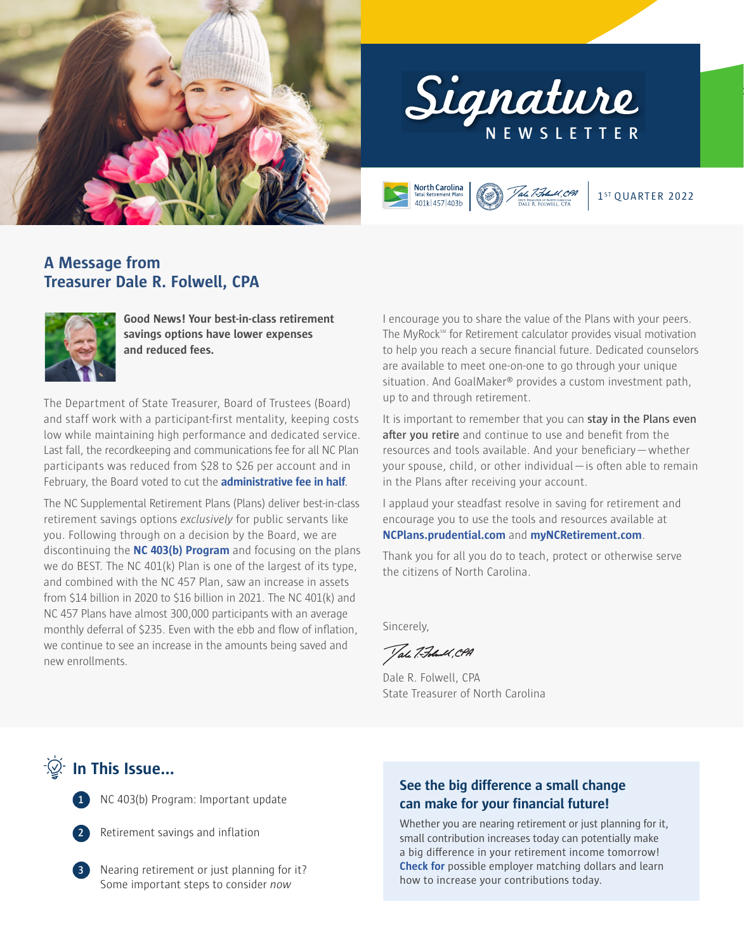



**North Carolina** Vale 7.Folwell, CPA 401k 457 403b

1<sup>ST</sup> OUARTER 2022

### **A Message from Treasurer Dale R. Folwell, CPA**



**Good News! Your best-in-class retirement savings options have lower expenses and reduced fees.**

The Department of State Treasurer, Board of Trustees (Board) and staff work with a participant-first mentality, keeping costs low while maintaining high performance and dedicated service. Last fall, the recordkeeping and communications fee for all NC Plan participants was reduced from \$28 to \$26 per account and in February, the Board voted to cut the **[administrative fee in half](https://www.myncretirement.com/media/3118/download?attachment)**.

The NC Supplemental Retirement Plans (Plans) deliver best-in-class retirement savings options *exclusively* for public servants like you. Following through on a decision by the Board, we are discontinuing the **[NC 403\(b\) Program](https://www.nctreasurer.com/news/press-releases/2022/01/18/nc-403b-program-will-be-discontinued-2022)** and focusing on the plans we do BEST. The NC 401(k) Plan is one of the largest of its type, and combined with the NC 457 Plan, saw an increase in assets from \$14 billion in 2020 to \$16 billion in 2021. The NC 401(k) and NC 457 Plans have almost 300,000 participants with an average monthly deferral of \$235. Even with the ebb and flow of inflation, we continue to see an increase in the amounts being saved and new enrollments.

I encourage you to share the value of the Plans with your peers. The MyRock<sup>SM</sup> for Retirement calculator provides visual motivation to help you reach a secure financial future. Dedicated counselors are available to meet one-on-one to go through your unique situation. And GoalMaker® provides a custom investment path, up to and through retirement.

It is important to remember that you can **stay in the Plans even after you retire** and continue to use and benefit from the resources and tools available. And your beneficiary—whether your spouse, child, or other individual—is often able to remain in the Plans after receiving your account.

I applaud your steadfast resolve in saving for retirement and encourage you to use the tools and resources available at **[NCPlans.prudential.com](https://ncplans.retirepru.com/)** and **[myNCRetirement.com](https://www.myncretirement.com/)**.

Thank you for all you do to teach, protect or otherwise serve the citizens of North Carolina.

Sincerely,

Tale 7. Folund , CPA

Dale R. Folwell, CPA State Treasurer of North Carolina

**In This Issue...** 

**1** NC 403(b) Program: Important update

**2** Retirement savings and inflation

**3** Nearing retirement or just planning for it? Some important steps to consider *now*

### **See the big difference a small change can make for your financial future!**

Whether you are nearing retirement or just planning for it, small contribution increases today can potentially make a big difference in your retirement income tomorrow! **[Check for](https://ncplans.retirepru.com/savings.html)** possible employer matching dollars and learn how to increase your contributions today.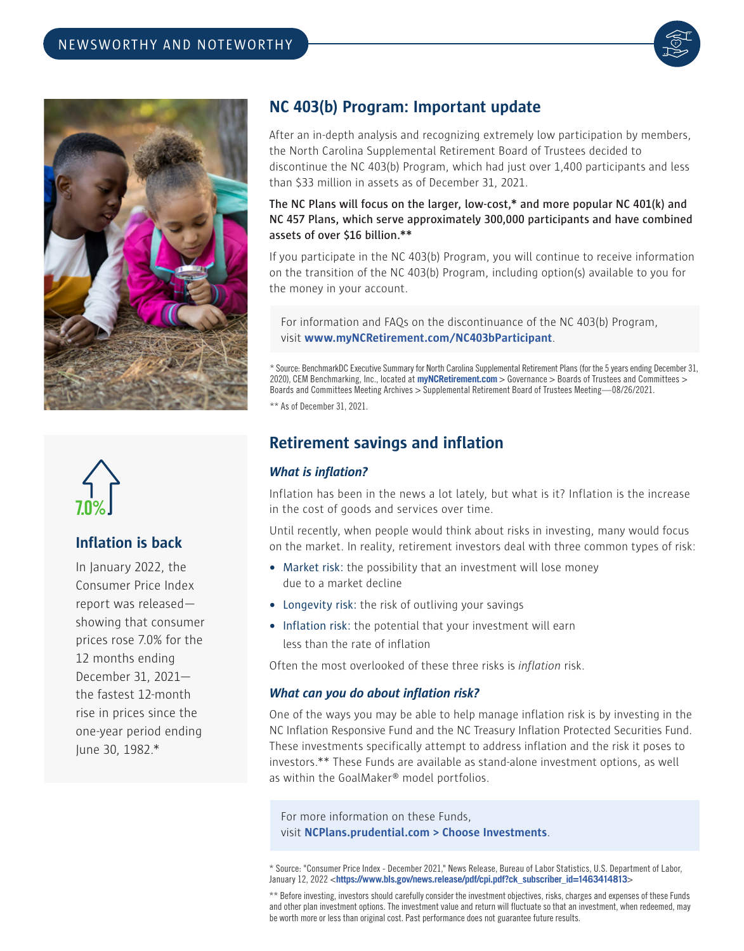





### **Inflation is back**

In January 2022, the Consumer Price Index report was released showing that consumer prices rose 7.0% for the 12 months ending December 31, 2021 the fastest 12-month rise in prices since the one-year period ending June 30, 1982.\*

# **NC 403(b) Program: Important update**

After an in-depth analysis and recognizing extremely low participation by members, the North Carolina Supplemental Retirement Board of Trustees decided to discontinue the NC 403(b) Program, which had just over 1,400 participants and less than \$33 million in assets as of December 31, 2021.

#### **The NC Plans will focus on the larger, low-cost,\* and more popular NC 401(k) and NC 457 Plans, which serve approximately 300,000 participants and have combined assets of over \$16 billion.\*\***

If you participate in the NC 403(b) Program, you will continue to receive information on the transition of the NC 403(b) Program, including option(s) available to you for the money in your account.

For information and FAQs on the discontinuance of the NC 403(b) Program, visit **www.myNCRetirement.com/NC403bParticipant**.

\* Source: BenchmarkDC Executive Summary for North Carolina Supplemental Retirement Plans (for the 5 years ending December 31, 2020), CEM Benchmarking, Inc., located at **myNCRetirement.com** > Governance > Boards of Trustees and Committees > Boards and Committees Meeting Archives > Supplemental Retirement Board of Trustees Meeting—08/26/2021.

\*\* As of December 31, 2021.

## **Retirement savings and inflation**

### *What is inflation?*

Inflation has been in the news a lot lately, but what is it? Inflation is the increase in the cost of goods and services over time.

Until recently, when people would think about risks in investing, many would focus on the market. In reality, retirement investors deal with three common types of risk:

- **•** Market risk: the possibility that an investment will lose money due to a market decline
- **•** Longevity risk: the risk of outliving your savings
- **•** Inflation risk: the potential that your investment will earn less than the rate of inflation

Often the most overlooked of these three risks is *inflation* risk.

#### *What can you do about inflation risk?*

One of the ways you may be able to help manage inflation risk is by investing in the NC Inflation Responsive Fund and the NC Treasury Inflation Protected Securities Fund. These investments specifically attempt to address inflation and the risk it poses to investors.\*\* These Funds are available as stand-alone investment options, as well as within the GoalMaker® model portfolios.

For more information on these Funds, visit **NCPlans.prudential.com > Choose Investments**.

<sup>\*</sup> Source: "Consumer Price Index - December 2021," News Release, Bureau of Labor Statistics, U.S. Department of Labor, January 12, 2022 <**[https://www.bls.gov/news.release/pdf/cpi.pdf?ck\\_subscriber\\_id=1463414813](https://www.bls.gov/news.release/pdf/cpi.pdf?ck_subscriber_id=1463414813)**>

<sup>\*\*</sup> Before investing, investors should carefully consider the investment objectives, risks, charges and expenses of these Funds and other plan investment options. The investment value and return will fluctuate so that an investment, when redeemed, may be worth more or less than original cost. Past performance does not guarantee future results.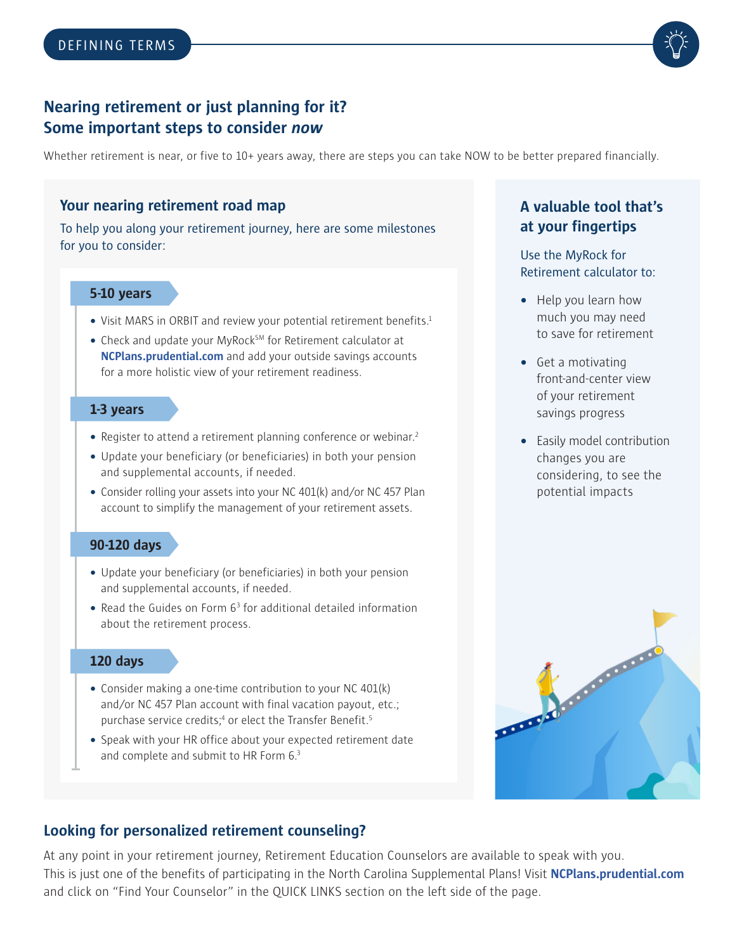

# **Nearing retirement or just planning for it? Some important steps to consider** *now*

Whether retirement is near, or five to 10+ years away, there are steps you can take NOW to be better prepared financially.

## **Your nearing retirement road map**

To help you along your retirement journey, here are some milestones for you to consider:

### **5-10 years**

- Visit MARS in ORBIT and review your potential retirement benefits.<sup>1</sup>
- Check and update your MyRock<sup>SM</sup> for Retirement calculator at **NCPlans.prudential.com** and add your outside savings accounts for a more holistic view of your retirement readiness.

#### **1-3 years**

- Register to attend a retirement planning conference or webinar.<sup>2</sup>
- **•** Update your beneficiary (or beneficiaries) in both your pension and supplemental accounts, if needed.
- **•** Consider rolling your assets into your NC 401(k) and/or NC 457 Plan account to simplify the management of your retirement assets.

#### **90-120 days**

- **•** Update your beneficiary (or beneficiaries) in both your pension and supplemental accounts, if needed.
- Read the Guides on Form 6<sup>3</sup> for additional detailed information about the retirement process.

### **120 days**

- **•** Consider making a one-time contribution to your NC 401(k) and/or NC 457 Plan account with final vacation payout, etc.; purchase service credits;<sup>4</sup> or elect the Transfer Benefit.<sup>5</sup>
- **•** Speak with your HR office about your expected retirement date and complete and submit to HR Form 6.3

## **A valuable tool that's at your fingertips**

Use the MyRock for Retirement calculator to:

- **•** Help you learn how much you may need to save for retirement
- **•** Get a motivating front-and-center view of your retirement savings progress
- **•** Easily model contribution changes you are considering, to see the potential impacts



# **Looking for personalized retirement counseling?**

At any point in your retirement journey, Retirement Education Counselors are available to speak with you. This is just one of the benefits of participating in the North Carolina Supplemental Plans! Visit **[NCPlans.prudential.com](http://NCPlans.prudential.com)** and click on "Find Your Counselor" in the QUICK LINKS section on the left side of the page.